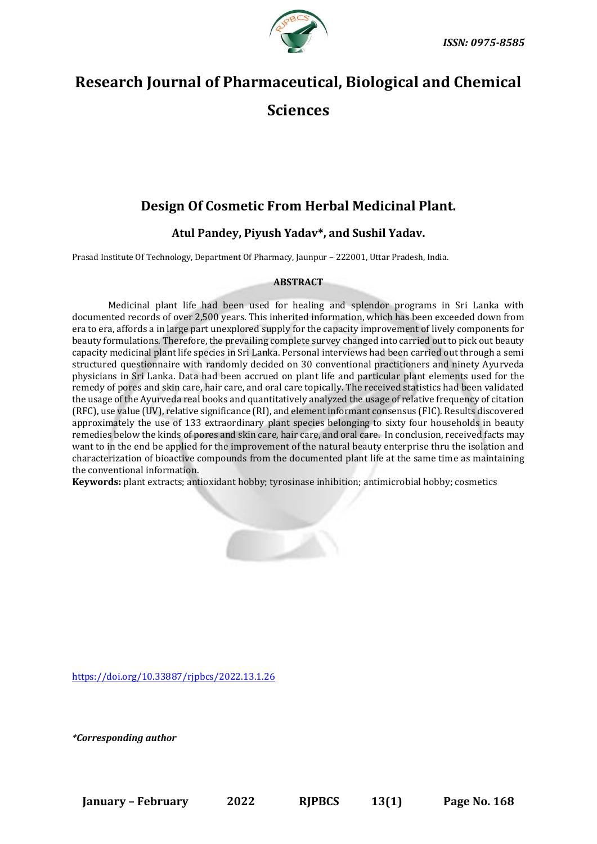

# **Research Journal of Pharmaceutical, Biological and Chemical Sciences**

# **Design Of Cosmetic From Herbal Medicinal Plant.**

# **Atul Pandey, Piyush Yadav\*, and Sushil Yadav.**

Prasad Institute Of Technology, Department Of Pharmacy, Jaunpur – 222001, Uttar Pradesh, India.

# **ABSTRACT**

Medicinal plant life had been used for healing and splendor programs in Sri Lanka with documented records of over 2,500 years. This inherited information, which has been exceeded down from era to era, affords a in large part unexplored supply for the capacity improvement of lively components for beauty formulations. Therefore, the prevailing complete survey changed into carried out to pick out beauty capacity medicinal plant life species in Sri Lanka. Personal interviews had been carried out through a semi structured questionnaire with randomly decided on 30 conventional practitioners and ninety Ayurveda physicians in Sri Lanka. Data had been accrued on plant life and particular plant elements used for the remedy of pores and skin care, hair care, and oral care topically. The received statistics had been validated the usage of the Ayurveda real books and quantitatively analyzed the usage of relative frequency of citation (RFC), use value (UV), relative significance (RI), and element informant consensus (FIC). Results discovered approximately the use of 133 extraordinary plant species belonging to sixty four households in beauty remedies below the kinds of pores and skin care, hair care, and oral care. In conclusion, received facts may want to in the end be applied for the improvement of the natural beauty enterprise thru the isolation and characterization of bioactive compounds from the documented plant life at the same time as maintaining the conventional information.

**Keywords:** plant extracts; antioxidant hobby; tyrosinase inhibition; antimicrobial hobby; cosmetics



*\*Corresponding author*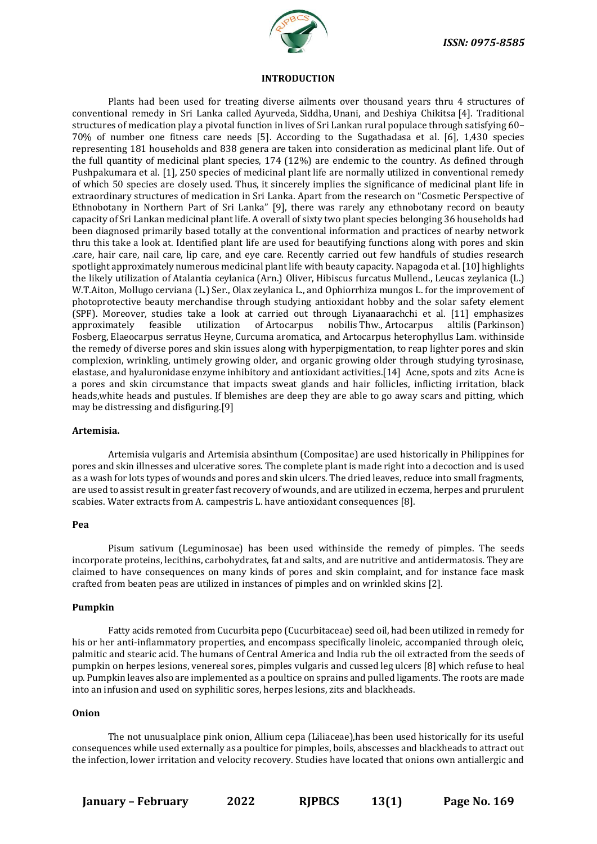

# **INTRODUCTION**

Plants had been used for treating diverse ailments over thousand years thru 4 structures of conventional remedy in Sri Lanka called Ayurveda, Siddha, Unani, and Deshiya Chikitsa [4]. Traditional structures of medication play a pivotal function in lives of Sri Lankan rural populace through satisfying 60– 70% of number one fitness care needs [5]. According to the Sugathadasa et al. [6], 1,430 species representing 181 households and 838 genera are taken into consideration as medicinal plant life. Out of the full quantity of medicinal plant species, 174 (12%) are endemic to the country. As defined through Pushpakumara et al. [1], 250 species of medicinal plant life are normally utilized in conventional remedy of which 50 species are closely used. Thus, it sincerely implies the significance of medicinal plant life in extraordinary structures of medication in Sri Lanka. Apart from the research on "Cosmetic Perspective of Ethnobotany in Northern Part of Sri Lanka" [9], there was rarely any ethnobotany record on beauty capacity of Sri Lankan medicinal plant life. A overall of sixty two plant species belonging 36 households had been diagnosed primarily based totally at the conventional information and practices of nearby network thru this take a look at. Identified plant life are used for beautifying functions along with pores and skin .care, hair care, nail care, lip care, and eye care. Recently carried out few handfuls of studies research spotlight approximately numerous medicinal plant life with beauty capacity. Napagoda et al. [10] highlights the likely utilization of Atalantia ceylanica (Arn.) Oliver, Hibiscus furcatus Mullend., Leucas zeylanica (L.) W.T.Aiton, Mollugo cerviana (L.) Ser., Olax zeylanica L., and Ophiorrhiza mungos L. for the improvement of photoprotective beauty merchandise through studying antioxidant hobby and the solar safety element (SPF). Moreover, studies take a look at carried out through Liyanaarachchi et al. [11] emphasizes approximately feasible utilization of Artocarpus nobilis Thw., Artocarpus altilis (Parkinson) Fosberg, Elaeocarpus serratus Heyne, Curcuma aromatica, and Artocarpus heterophyllus Lam. withinside the remedy of diverse pores and skin issues along with hyperpigmentation, to reap lighter pores and skin complexion, wrinkling, untimely growing older, and organic growing older through studying tyrosinase, elastase, and hyaluronidase enzyme inhibitory and antioxidant activities.[14] Acne, spots and zits Acne is a pores and skin circumstance that impacts sweat glands and hair follicles, inflicting irritation, black heads,white heads and pustules. If blemishes are deep they are able to go away scars and pitting, which may be distressing and disfiguring.[9]

### **Artemisia.**

Artemisia vulgaris and Artemisia absinthum (Compositae) are used historically in Philippines for pores and skin illnesses and ulcerative sores. The complete plant is made right into a decoction and is used as a wash for lots types of wounds and pores and skin ulcers. The dried leaves, reduce into small fragments, are used to assist result in greater fast recovery of wounds, and are utilized in eczema, herpes and prurulent scabies. Water extracts from A. campestris L. have antioxidant consequences [8].

# **Pea**

Pisum sativum (Leguminosae) has been used withinside the remedy of pimples. The seeds incorporate proteins, lecithins, carbohydrates, fat and salts, and are nutritive and antidermatosis. They are claimed to have consequences on many kinds of pores and skin complaint, and for instance face mask crafted from beaten peas are utilized in instances of pimples and on wrinkled skins [2].

#### **Pumpkin**

Fatty acids remoted from Cucurbita pepo (Cucurbitaceae) seed oil, had been utilized in remedy for his or her anti-inflammatory properties, and encompass specifically linoleic, accompanied through oleic, palmitic and stearic acid. The humans of Central America and India rub the oil extracted from the seeds of pumpkin on herpes lesions, venereal sores, pimples vulgaris and cussed leg ulcers [8] which refuse to heal up. Pumpkin leaves also are implemented as a poultice on sprains and pulled ligaments. The roots are made into an infusion and used on syphilitic sores, herpes lesions, zits and blackheads.

# **Onion**

The not unusualplace pink onion, Allium cepa (Liliaceae),has been used historically for its useful consequences while used externally as a poultice for pimples, boils, abscesses and blackheads to attract out the infection, lower irritation and velocity recovery. Studies have located that onions own antiallergic and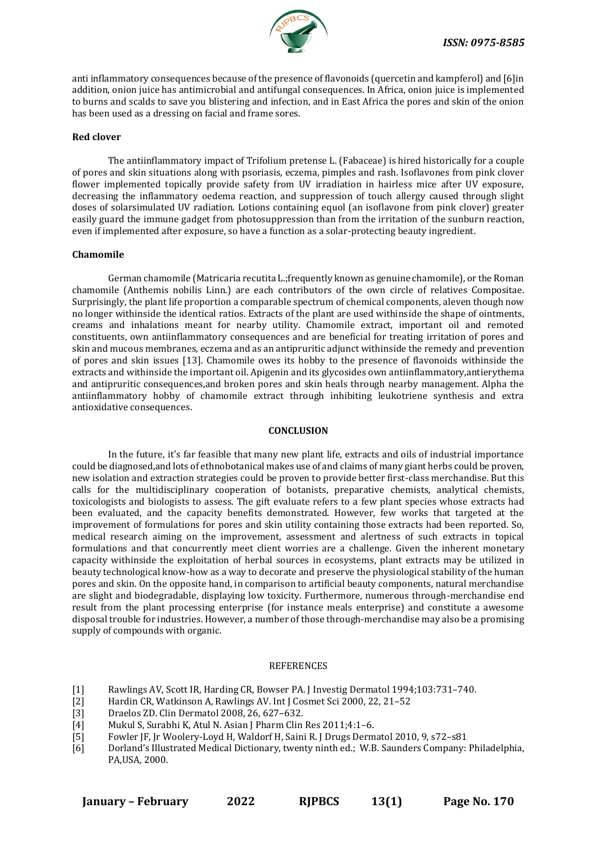

anti inflammatory consequences because of the presence of flavonoids (quercetin and kampferol) and [6]in addition, onion juice has antimicrobial and antifungal consequences. In Africa, onion juice is implemented to burns and scalds to save you blistering and infection, and in East Africa the pores and skin of the onion has been used as a dressing on facial and frame sores.

# **Red clover**

The antiinflammatory impact of Trifolium pretense L. (Fabaceae) is hired historically for a couple of pores and skin situations along with psoriasis, eczema, pimples and rash. Isoflavones from pink clover flower implemented topically provide safety from UV irradiation in hairless mice after UV exposure, decreasing the inflammatory oedema reaction, and suppression of touch allergy caused through slight doses of solarsimulated UV radiation. Lotions containing equol (an isoflavone from pink clover) greater easily guard the immune gadget from photosuppression than from the irritation of the sunburn reaction, even if implemented after exposure, so have a function as a solar-protecting beauty ingredient.

# **Chamomile**

German chamomile (Matricaria recutita L.;frequently known as genuine chamomile), or the Roman chamomile (Anthemis nobilis Linn.) are each contributors of the own circle of relatives Compositae. Surprisingly, the plant life proportion a comparable spectrum of chemical components, aleven though now no longer withinside the identical ratios. Extracts of the plant are used withinside the shape of ointments, creams and inhalations meant for nearby utility. Chamomile extract, important oil and remoted constituents, own antiinflammatory consequences and are beneficial for treating irritation of pores and skin and mucous membranes, eczema and as an antipruritic adjunct withinside the remedy and prevention of pores and skin issues [13]. Chamomile owes its hobby to the presence of flavonoids withinside the extracts and withinside the important oil. Apigenin and its glycosides own antiinflammatory,antierythema and antipruritic consequences,and broken pores and skin heals through nearby management. Alpha the antiinflammatory hobby of chamomile extract through inhibiting leukotriene synthesis and extra antioxidative consequences.

# **CONCLUSION**

In the future, it's far feasible that many new plant life, extracts and oils of industrial importance could be diagnosed,and lots of ethnobotanical makes use of and claims of many giant herbs could be proven, new isolation and extraction strategies could be proven to provide better first-class merchandise. But this calls for the multidisciplinary cooperation of botanists, preparative chemists, analytical chemists, toxicologists and biologists to assess. The gift evaluate refers to a few plant species whose extracts had been evaluated, and the capacity benefits demonstrated. However, few works that targeted at the improvement of formulations for pores and skin utility containing those extracts had been reported. So, medical research aiming on the improvement, assessment and alertness of such extracts in topical formulations and that concurrently meet client worries are a challenge. Given the inherent monetary capacity withinside the exploitation of herbal sources in ecosystems, plant extracts may be utilized in beauty technological know-how as a way to decorate and preserve the physiological stability of the human pores and skin. On the opposite hand, in comparison to artificial beauty components, natural merchandise are slight and biodegradable, displaying low toxicity. Furthermore, numerous through-merchandise end result from the plant processing enterprise (for instance meals enterprise) and constitute a awesome disposal trouble for industries. However, a number of those through-merchandise may also be a promising supply of compounds with organic.

### REFERENCES

- [1] Rawlings AV, Scott IR, Harding CR, Bowser PA. J Investig Dermatol 1994;103:731–740.
- [2] Hardin CR, Watkinson A, Rawlings AV. Int J Cosmet Sci 2000, 22, 21-52<br>[3] Draelos ZD. Clin Dermatol 2008, 26, 627-632.
- [3] Draelos ZD. Clin Dermatol 2008, 26, 627–632.
- [4] Mukul S, Surabhi K, Atul N. Asian J Pharm Clin Res 2011;4:1–6.
- [5] Fowler JF, Jr Woolery-Loyd H, Waldorf H, Saini R. J Drugs Dermatol 2010, 9, s72–s81
- [6] Dorland's Illustrated Medical Dictionary, twenty ninth ed.; W.B. Saunders Company: Philadelphia, PA,USA, 2000.